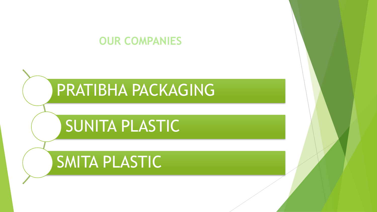### **OUR COMPANIES**

# PRATIBHA PACKAGING

## SUNITA PLASTIC

### SMITA PLASTIC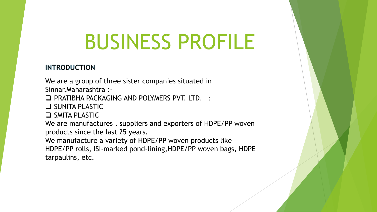# BUSINESS PROFILE

#### **INTRODUCTION**

We are a group of three sister companies situated in Sinnar,Maharashtra :-

**Q PRATIBHA PACKAGING AND POLYMERS PVT. LTD. :** 

 $\Box$  SUNITA PLASTIC

 $\Box$  SMITA PLASTIC

We are manufactures , suppliers and exporters of HDPE/PP woven products since the last 25 years.

We manufacture a variety of HDPE/PP woven products like HDPE/PP rolls, ISI-marked pond-lining,HDPE/PP woven bags, HDPE

tarpaulins, etc.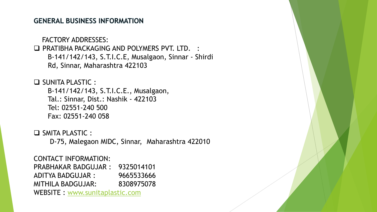#### **GENERAL BUSINESS INFORMATION**

FACTORY ADDRESSES:

□ PRATIBHA PACKAGING AND POLYMERS PVT. LTD. : B-141/142/143, S.T.I.C.E, Musalgaon, Sinnar - Shirdi Rd, Sinnar, Maharashtra 422103

 $\Box$  SUNITA PLASTIC : B-141/142/143, S.T.I.C.E., Musalgaon, Tal.: Sinnar, Dist.: Nashik - 422103 Tel: 02551-240 500 Fax: 02551-240 058

 $\Box$  SMITA PLASTIC : D-75, Malegaon MIDC, Sinnar, Maharashtra 422010

CONTACT INFORMATION: PRABHAKAR BADGUJAR : 9325014101 ADITYA BADGUJAR : 9665533666 MITHILA BADGUJAR: 8308975078 WEBSITE : www.sunitaplastic.com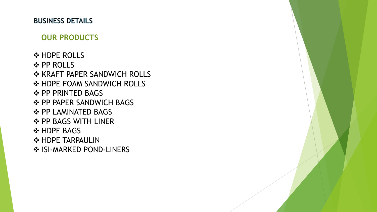#### **BUSINESS DETAILS**

#### **OUR PRODUCTS**

**❖ HDPE ROLLS**  $\triangle$  **PP ROLLS ❖ KRAFT PAPER SANDWICH ROLLS ❖ HDPE FOAM SANDWICH ROLLS ❖ PP PRINTED BAGS** ❖ PP PAPER SANDWICH BAGS **❖ PP LAMINATED BAGS ❖ PP BAGS WITH LINER ❖ HDPE BAGS ❖ HDPE TARPAULIN ❖ ISI-MARKED POND-LINERS**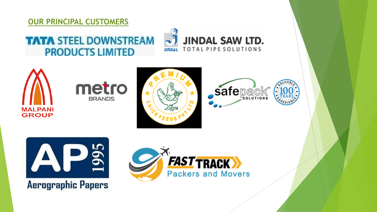#### **OUR PRINCIPAL CUSTOMERS**

### **TATA STEEL DOWNSTREAM PRODUCTS LIMITED**













**Aerographic Papers** 

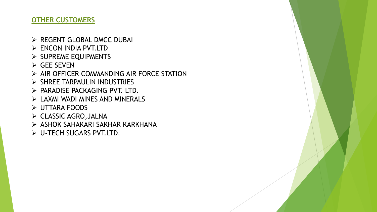#### **OTHER CUSTOMERS**

- $\triangleright$  REGENT GLOBAL DMCC DUBAI
- Ø ENCON INDIA PVT.LTD
- $\triangleright$  SUPREME EQUIPMENTS
- $\triangleright$  GEE SEVEN
- $\triangleright$  AIR OFFICER COMMANDING AIR FORCE STATION
- $\triangleright$  SHREE TARPAULIN INDUSTRIES
- $\triangleright$  PARADISE PACKAGING PVT. LTD.
- $\triangleright$  LAXMI WADI MINES AND MINERALS
- $\triangleright$  UTTARA FOODS
- Ø CLASSIC AGRO,JALNA
- Ø ASHOK SAHAKARI SAKHAR KARKHANA
- Ø U-TECH SUGARS PVT.LTD.